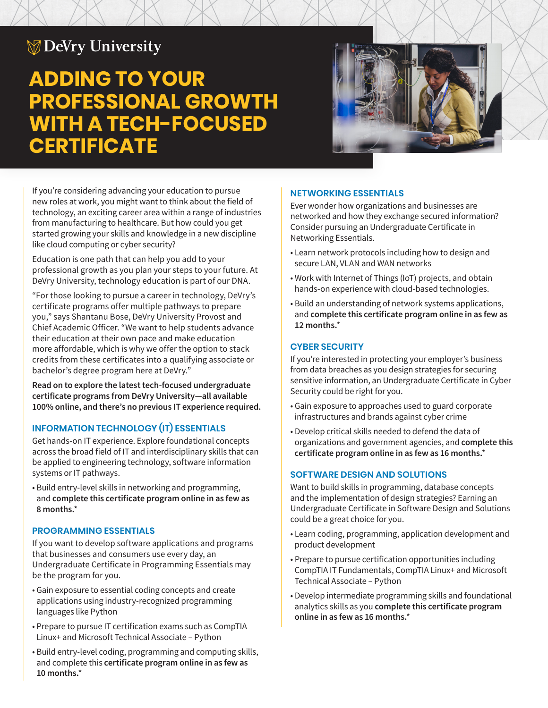# **DeVry University**

# **ADDING TO YOUR PROFESSIONAL GROWTH WITH A TECH-FOCUSED CERTIFICATE**



If you're considering advancing your education to pursue new roles at work, you might want to think about the field of technology, an exciting career area within a range of industries from manufacturing to healthcare. But how could you get started growing your skills and knowledge in a new discipline like cloud computing or cyber security?

Education is one path that can help you add to your professional growth as you plan your steps to your future. At DeVry University, technology education is part of our DNA.

"For those looking to pursue a career in technology, DeVry's certificate programs offer multiple pathways to prepare you," says Shantanu Bose, DeVry University Provost and Chief Academic Officer. "We want to help students advance their education at their own pace and make education more affordable, which is why we offer the option to stack credits from these certificates into a qualifying associate or bachelor's degree program here at DeVry."

**Read on to explore the latest tech-focused undergraduate certificate programs from DeVry University—all available 100% online, and there's no previous IT experience required.**

# **INFORMATION TECHNOLOGY (IT) ESSENTIALS**

Get hands-on IT experience. Explore foundational concepts across the broad field of IT and interdisciplinary skills that can be applied to engineering technology, software information systems or IT pathways.

• Build entry-level skills in networking and programming, and **complete this certificate program online in as few as 8 months.**\*

### **PROGRAMMING ESSENTIALS**

If you want to develop software applications and programs that businesses and consumers use every day, an Undergraduate Certificate in Programming Essentials may be the program for you.

- Gain exposure to essential coding concepts and create applications using industry-recognized programming languages like Python
- Prepare to pursue IT certification exams such as CompTIA Linux+ and Microsoft Technical Associate – Python
- Build entry-level coding, programming and computing skills, and complete this **certificate program online in as few as 10 months.**\*

# **NETWORKING ESSENTIALS**

Ever wonder how organizations and businesses are networked and how they exchange secured information? Consider pursuing an Undergraduate Certificate in Networking Essentials.

- Learn network protocols including how to design and secure LAN, VLAN and WAN networks
- Work with Internet of Things (IoT) projects, and obtain hands-on experience with cloud-based technologies.
- Build an understanding of network systems applications, and **complete this certificate program online in as few as 12 months.**\*

### **CYBER SECURITY**

If you're interested in protecting your employer's business from data breaches as you design strategies for securing sensitive information, an Undergraduate Certificate in Cyber Security could be right for you.

- Gain exposure to approaches used to guard corporate infrastructures and brands against cyber crime
- Develop critical skills needed to defend the data of organizations and government agencies, and **complete this certificate program online in as few as 16 months.**\*

### **SOFTWARE DESIGN AND SOLUTIONS**

Want to build skills in programming, database concepts and the implementation of design strategies? Earning an Undergraduate Certificate in Software Design and Solutions could be a great choice for you.

- Learn coding, programming, application development and product development
- Prepare to pursue certification opportunities including CompTIA IT Fundamentals, CompTIA Linux+ and Microsoft Technical Associate – Python
- Develop intermediate programming skills and foundational analytics skills as you **complete this certificate program online in as few as 16 months.**\*